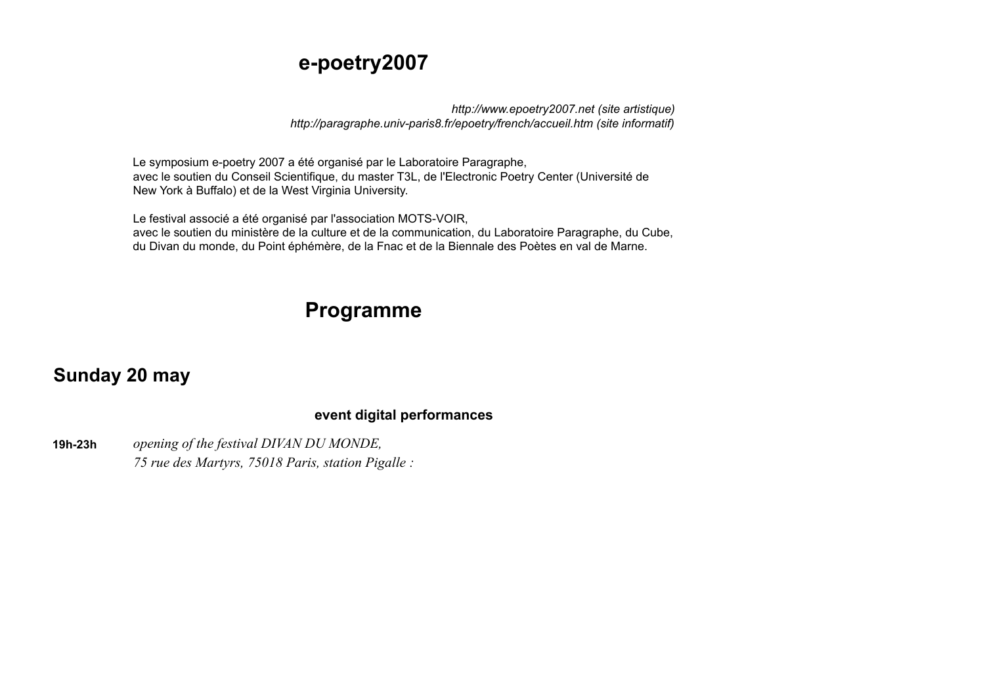### **e-poetry2007**

*http://www.epoetry2007.net (site artistique) http://paragraphe.univ-paris8.fr/epoetry/french/accueil.htm (site informatif)*

Le symposium e-poetry 2007 a été organisé par le Laboratoire Paragraphe, avec le soutien du Conseil Scientifique, du master T3L, de l'Electronic Poetry Center (Université de New York à Buffalo) et de la West Virginia University.

Le festival associé a été organisé par l'association MOTS-VOIR, avec le soutien du ministère de la culture et de la communication, du Laboratoire Paragraphe, du Cube, du Divan du monde, du Point éphémère, de la Fnac et de la Biennale des Poètes en val de Marne.

# **Programme**

### **Sunday 20 may**

### **event digital performances**

**19h-23h** *opening of the festival DIVAN DU MONDE, 75 rue des Martyrs, 75018 Paris, station Pigalle :*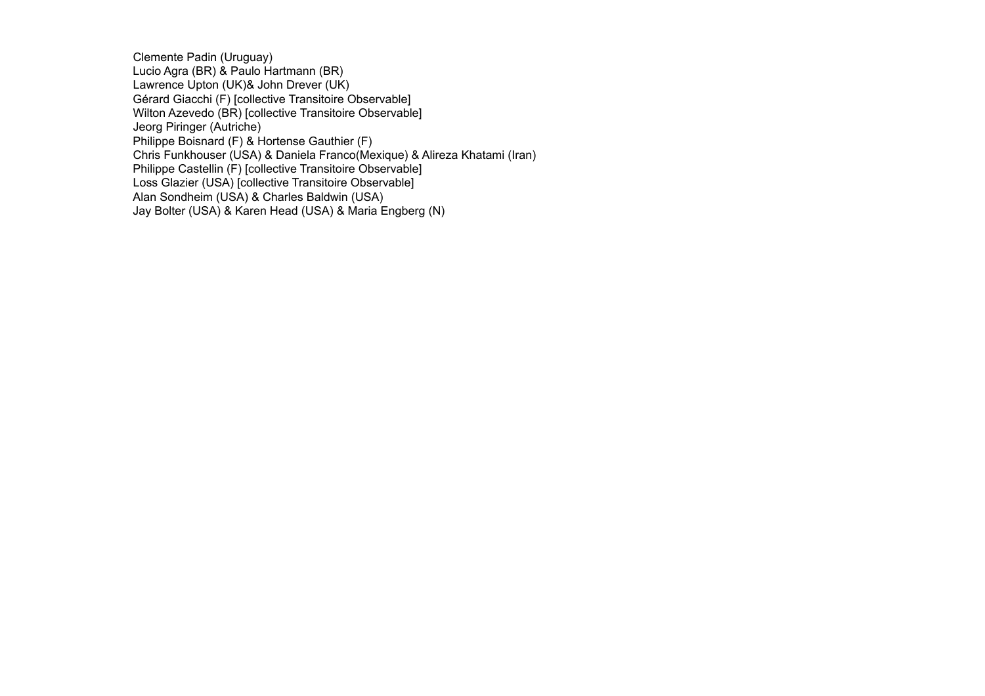Clemente Padin (Uruguay) Lucio Agra (BR) & Paulo Hartmann (BR) Lawrence Upton (UK)& John Drever (UK) Gérard Giacchi (F) [collective Transitoire Observable] Wilton Azevedo (BR) [collective Transitoire Observable] Jeorg Piringer (Autriche) Philippe Boisnard (F) & Hortense Gauthier (F) Chris Funkhouser (USA) & Daniela Franco(Mexique) & Alireza Khatami (Iran) Philippe Castellin (F) [collective Transitoire Observable] Loss Glazier (USA) [collective Transitoire Observable] Alan Sondheim (USA) & Charles Baldwin (USA) Jay Bolter (USA) & Karen Head (USA) & Maria Engberg (N)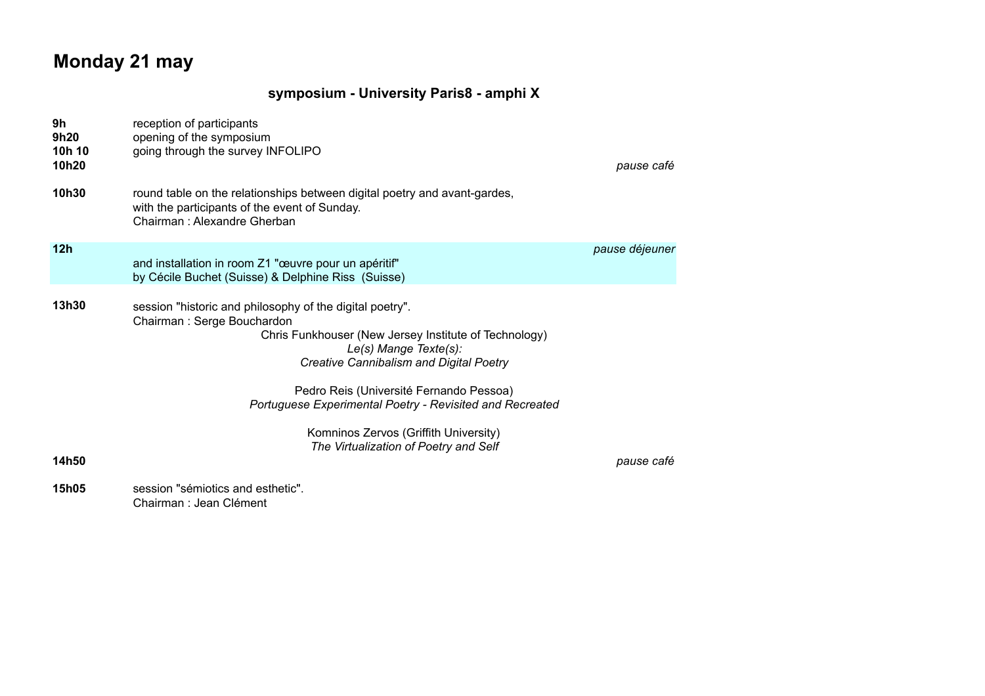## **Monday 21 may**

### **symposium - University Paris8 - amphi X**

| 9h<br>9h20<br>10h 10<br>10h20 | reception of participants<br>opening of the symposium<br>going through the survey INFOLIPO                                                                                                                                                                                                                                                                                                                   | pause café     |
|-------------------------------|--------------------------------------------------------------------------------------------------------------------------------------------------------------------------------------------------------------------------------------------------------------------------------------------------------------------------------------------------------------------------------------------------------------|----------------|
| 10h30                         | round table on the relationships between digital poetry and avant-gardes,<br>with the participants of the event of Sunday.<br>Chairman: Alexandre Gherban                                                                                                                                                                                                                                                    |                |
| 12 <sub>h</sub>               | and installation in room Z1 "œuvre pour un apéritif"<br>by Cécile Buchet (Suisse) & Delphine Riss (Suisse)                                                                                                                                                                                                                                                                                                   | pause déjeuner |
| 13h30<br>14h50                | session "historic and philosophy of the digital poetry".<br>Chairman: Serge Bouchardon<br>Chris Funkhouser (New Jersey Institute of Technology)<br>Le(s) Mange Texte(s):<br>Creative Cannibalism and Digital Poetry<br>Pedro Reis (Université Fernando Pessoa)<br>Portuguese Experimental Poetry - Revisited and Recreated<br>Komninos Zervos (Griffith University)<br>The Virtualization of Poetry and Self | pause café     |
| <b>15h05</b>                  | session "sémiotics and esthetic".<br>Chairman : Jean Clément                                                                                                                                                                                                                                                                                                                                                 |                |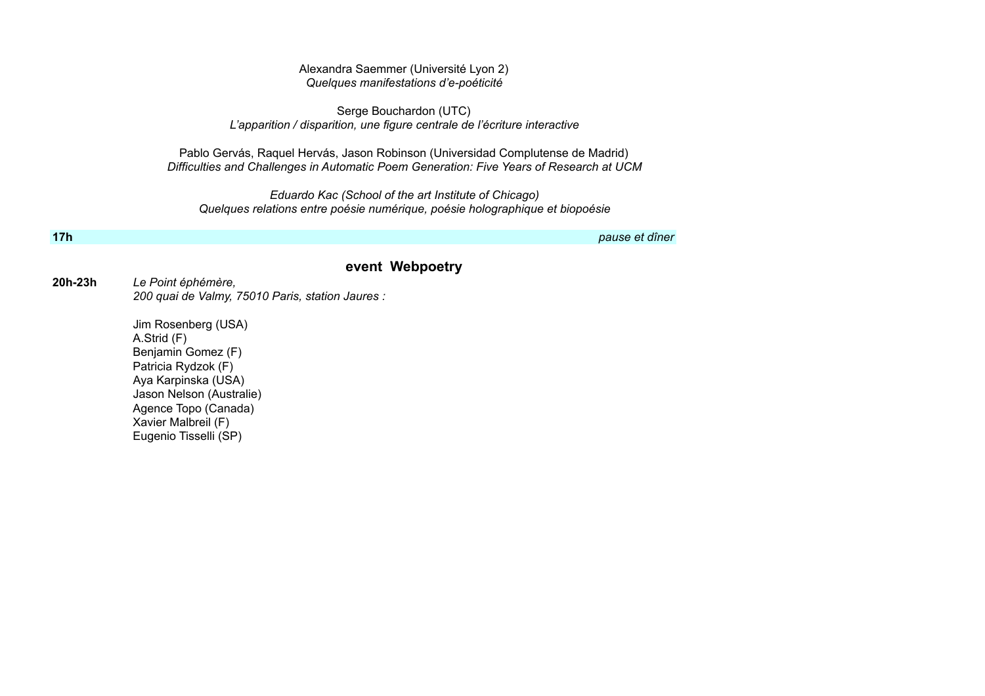#### Alexandra Saemmer (Université Lyon 2) *Quelques manifestations d'e-poéticité*

Serge Bouchardon (UTC) *L'apparition / disparition, une figure centrale de l'écriture interactive*

Pablo Gervás, Raquel Hervás, Jason Robinson (Universidad Complutense de Madrid) *Difficulties and Challenges in Automatic Poem Generation: Five Years of Research at UCM*

*Eduardo Kac (School of the art Institute of Chicago) Quelques relations entre poésie numérique, poésie holographique et biopoésie*

**17h** *pause et dîner*

#### **event Webpoetry**

#### **20h-23h** *Le Point éphémère, 200 quai de Valmy, 75010 Paris, station Jaures :*

Jim Rosenberg (USA) A.Strid (F) Benjamin Gomez (F) Patricia Rydzok (F) Aya Karpinska (USA) Jason Nelson (Australie) Agence Topo (Canada) Xavier Malbreil (F) Eugenio Tisselli (SP)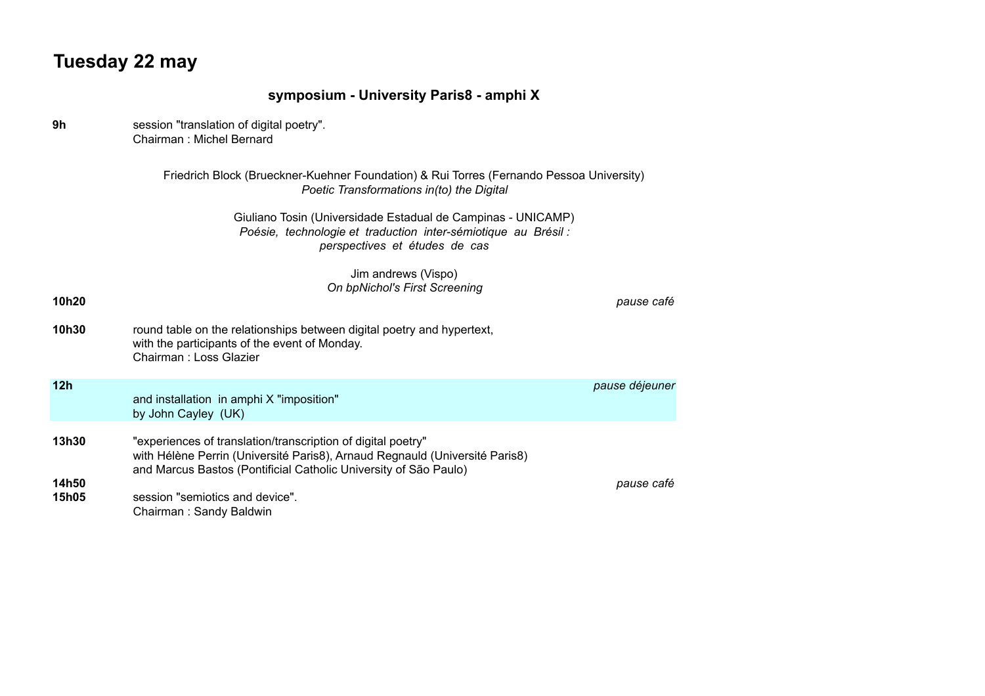## **Tuesday 22 may**

|                | symposium - University Paris8 - amphi X                                                                                                                                                                         |                |
|----------------|-----------------------------------------------------------------------------------------------------------------------------------------------------------------------------------------------------------------|----------------|
| 9h             | session "translation of digital poetry".<br>Chairman: Michel Bernard                                                                                                                                            |                |
|                | Friedrich Block (Brueckner-Kuehner Foundation) & Rui Torres (Fernando Pessoa University)<br>Poetic Transformations in(to) the Digital                                                                           |                |
|                | Giuliano Tosin (Universidade Estadual de Campinas - UNICAMP)<br>Poésie, technologie et traduction inter-sémiotique au Brésil :<br>perspectives et études de cas                                                 |                |
| 10h20          | Jim andrews (Vispo)<br>On bpNichol's First Screening                                                                                                                                                            | pause café     |
| 10h30          | round table on the relationships between digital poetry and hypertext,<br>with the participants of the event of Monday.<br>Chairman: Loss Glazier                                                               |                |
| 12h            | and installation in amphi X "imposition"<br>by John Cayley (UK)                                                                                                                                                 | pause déjeuner |
| 13h30          | "experiences of translation/transcription of digital poetry"<br>with Hélène Perrin (Université Paris8), Arnaud Regnauld (Université Paris8)<br>and Marcus Bastos (Pontificial Catholic University of São Paulo) |                |
| 14h50<br>15h05 | session "semiotics and device".<br>Chairman: Sandy Baldwin                                                                                                                                                      | pause café     |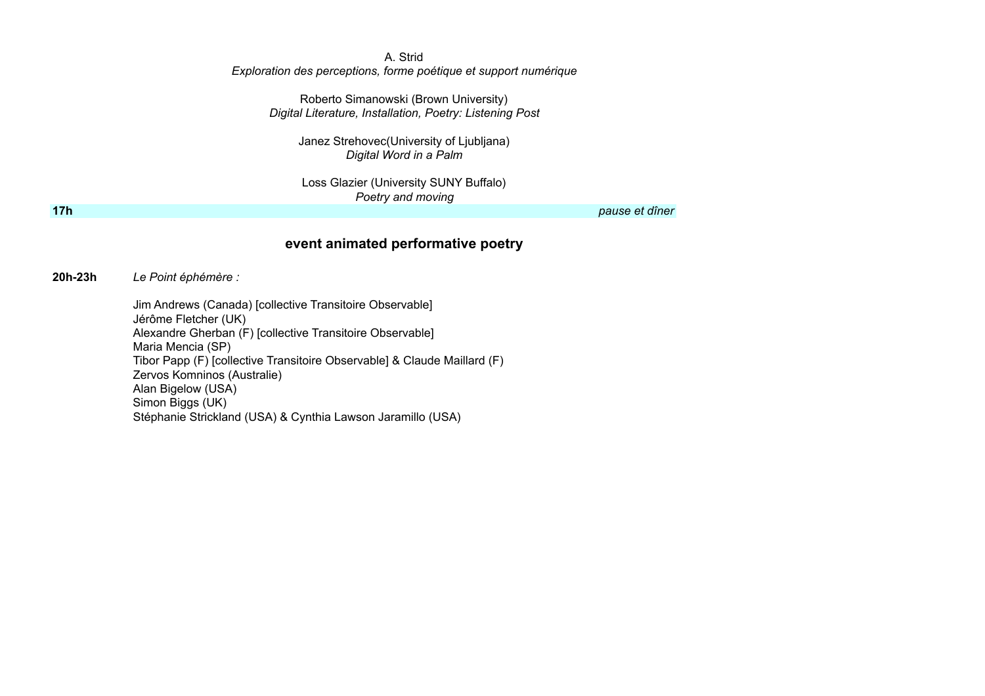#### A. Strid *Exploration des perceptions, forme poétique et support numérique*

Roberto Simanowski (Brown University) *Digital Literature, Installation, Poetry: Listening Post*

> Janez Strehovec(University of Ljubljana) *Digital Word in a Palm*

Loss Glazier (University SUNY Buffalo) *Poetry and moving*

**17h** *pause et dîner*

### **event animated performative poetry**

**20h-23h** *Le Point éphémère :* 

Jim Andrews (Canada) [collective Transitoire Observable] Jérôme Fletcher (UK) Alexandre Gherban (F) [collective Transitoire Observable] Maria Mencia (SP) Tibor Papp (F) [collective Transitoire Observable] & Claude Maillard (F) Zervos Komninos (Australie) Alan Bigelow (USA) Simon Biggs (UK) Stéphanie Strickland (USA) & Cynthia Lawson Jaramillo (USA)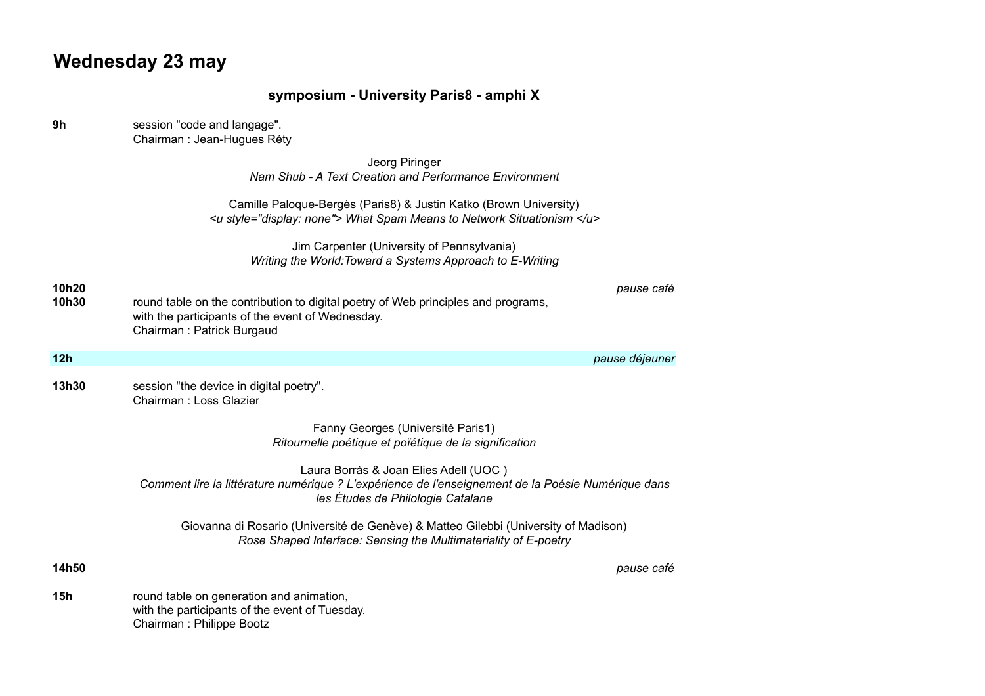# **Wednesday 23 may**

|                | symposium - University Paris8 - amphi X                                                                                                                                          |
|----------------|----------------------------------------------------------------------------------------------------------------------------------------------------------------------------------|
| 9h             | session "code and langage".<br>Chairman : Jean-Hugues Réty                                                                                                                       |
|                | Jeorg Piringer<br>Nam Shub - A Text Creation and Performance Environment                                                                                                         |
|                | Camille Paloque-Bergès (Paris8) & Justin Katko (Brown University)<br><u style="display: none"> What Spam Means to Network Situationism </u>                                      |
|                | Jim Carpenter (University of Pennsylvania)<br>Writing the World: Toward a Systems Approach to E-Writing                                                                          |
| 10h20<br>10h30 | pause café<br>round table on the contribution to digital poetry of Web principles and programs,<br>with the participants of the event of Wednesday.<br>Chairman: Patrick Burgaud |
| 12h            | pause déjeuner                                                                                                                                                                   |
| 13h30          | session "the device in digital poetry".<br>Chairman : Loss Glazier                                                                                                               |
|                | Fanny Georges (Université Paris1)<br>Ritournelle poétique et poïétique de la signification                                                                                       |
|                | Laura Borràs & Joan Elies Adell (UOC)<br>Comment lire la littérature numérique ? L'expérience de l'enseignement de la Poésie Numérique dans<br>les Études de Philologie Catalane |
|                | Giovanna di Rosario (Université de Genève) & Matteo Gilebbi (University of Madison)<br>Rose Shaped Interface: Sensing the Multimateriality of E-poetry                           |
| 14h50          | pause café                                                                                                                                                                       |
| 15h            | round table on generation and animation,<br>with the participants of the event of Tuesday.<br>Chairman: Philippe Bootz                                                           |